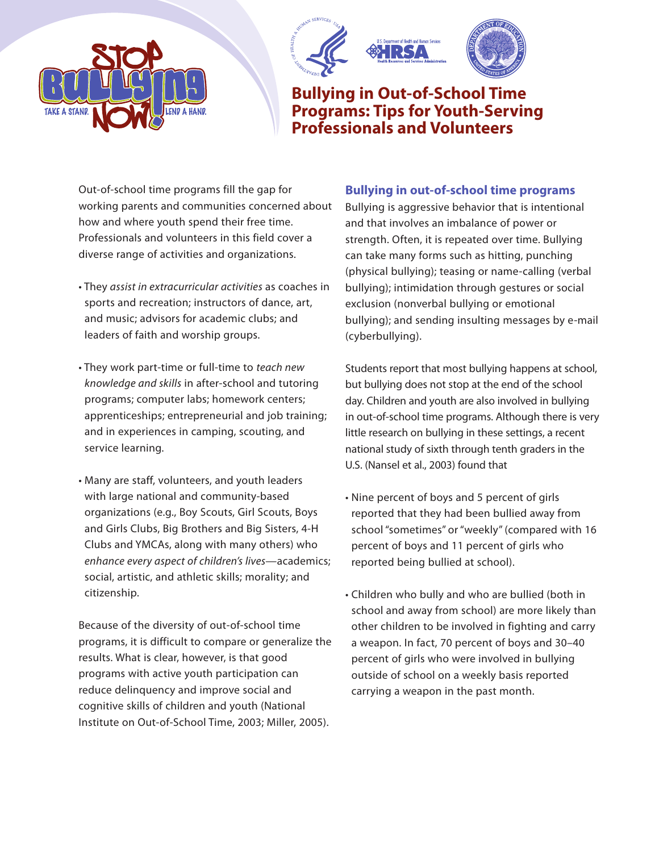





# **Bullying in Out-of-School Time Programs: Tips for Youth-Serving Professionals and Volunteers**

Out-of-school time programs fill the gap for working parents and communities concerned about how and where youth spend their free time. Professionals and volunteers in this field cover a diverse range of activities and organizations.

- They assist in extracurricular activities as coaches in sports and recreation; instructors of dance, art, and music; advisors for academic clubs; and leaders of faith and worship groups.
- They work part-time or full-time to teach new knowledge and skills in after-school and tutoring programs; computer labs; homework centers; apprenticeships; entrepreneurial and job training; and in experiences in camping, scouting, and service learning.
- Many are staff, volunteers, and youth leaders with large national and community-based organizations (e.g., Boy Scouts, Girl Scouts, Boys and Girls Clubs, Big Brothers and Big Sisters, 4-H Clubs and YMCAs, along with many others) who enhance every aspect of children's lives—academics; social, artistic, and athletic skills; morality; and citizenship.

Because of the diversity of out-of-school time programs, it is difficult to compare or generalize the results. What is clear, however, is that good programs with active youth participation can reduce delinquency and improve social and cognitive skills of children and youth (National Institute on Out-of-School Time, 2003; Miller, 2005).

### **Bullying in out-of-school time programs**

Bullying is aggressive behavior that is intentional and that involves an imbalance of power or strength. Often, it is repeated over time. Bullying can take many forms such as hitting, punching (physical bullying); teasing or name-calling (verbal bullying); intimidation through gestures or social exclusion (nonverbal bullying or emotional bullying); and sending insulting messages by e-mail (cyberbullying).

Students report that most bullying happens at school, but bullying does not stop at the end of the school day. Children and youth are also involved in bullying in out-of-school time programs. Although there is very little research on bullying in these settings, a recent national study of sixth through tenth graders in the U.S. (Nansel et al., 2003) found that

- Nine percent of boys and 5 percent of girls reported that they had been bullied away from school "sometimes" or "weekly" (compared with 16 percent of boys and 11 percent of girls who reported being bullied at school).
- Children who bully and who are bullied (both in school and away from school) are more likely than other children to be involved in fighting and carry a weapon. In fact, 70 percent of boys and 30–40 percent of girls who were involved in bullying outside of school on a weekly basis reported carrying a weapon in the past month.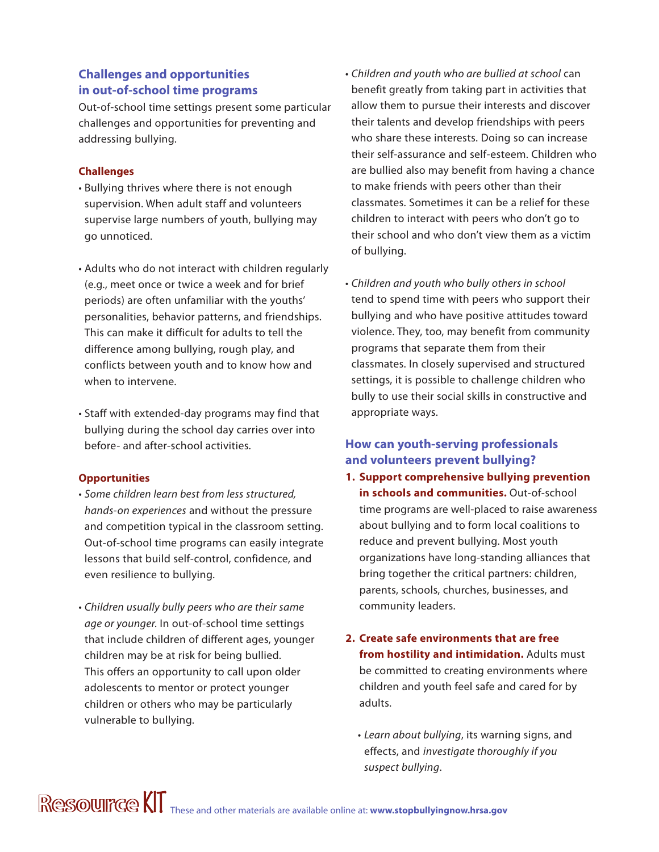## **Challenges and opportunities in out-of-school time programs**

Out-of-school time settings present some particular challenges and opportunities for preventing and addressing bullying.

#### **Challenges**

- Bullying thrives where there is not enough supervision. When adult staff and volunteers supervise large numbers of youth, bullying may go unnoticed.
- Adults who do not interact with children regularly (e.g., meet once or twice a week and for brief periods) are often unfamiliar with the youths' personalities, behavior patterns, and friendships. This can make it difficult for adults to tell the difference among bullying, rough play, and conflicts between youth and to know how and when to intervene.
- Staff with extended-day programs may find that bullying during the school day carries over into before- and after-school activities.

#### **Opportunities**

- Some children learn best from less structured, hands-on experiences and without the pressure and competition typical in the classroom setting. Out-of-school time programs can easily integrate lessons that build self-control, confidence, and even resilience to bullying.
- Children usually bully peers who are their same age or younger. In out-of-school time settings that include children of different ages, younger children may be at risk for being bullied. This offers an opportunity to call upon older adolescents to mentor or protect younger children or others who may be particularly vulnerable to bullying.
- Children and youth who are bullied at school can benefit greatly from taking part in activities that allow them to pursue their interests and discover their talents and develop friendships with peers who share these interests. Doing so can increase their self-assurance and self-esteem. Children who are bullied also may benefit from having a chance to make friends with peers other than their classmates. Sometimes it can be a relief for these children to interact with peers who don't go to their school and who don't view them as a victim of bullying.
- Children and youth who bully others in school tend to spend time with peers who support their bullying and who have positive attitudes toward violence. They, too, may benefit from community programs that separate them from their classmates. In closely supervised and structured settings, it is possible to challenge children who bully to use their social skills in constructive and appropriate ways.

## **How can youth-serving professionals and volunteers prevent bullying?**

- **1. Support comprehensive bullying prevention in schools and communities.** Out-of-school time programs are well-placed to raise awareness about bullying and to form local coalitions to reduce and prevent bullying. Most youth organizations have long-standing alliances that bring together the critical partners: children, parents, schools, churches, businesses, and community leaders.
- **2. Create safe environments that are free from hostility and intimidation.** Adults must be committed to creating environments where children and youth feel safe and cared for by adults.
	- Learn about bullying, its warning signs, and effects, and investigate thoroughly if you suspect bullying.